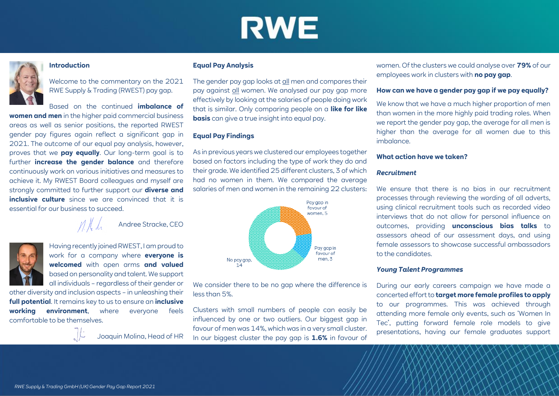# **RWE**

### **Introduction**

Welcome to the commentary on the 2021 RWE Supply & Trading (RWEST) pay gap.

Based on the continued **imbalance of** 

**women and men** in the higher paid commercial business areas as well as senior positions, the reported RWEST gender pay figures again reflect a significant gap in 2021. The outcome of our equal pay analysis, however, proves that we **pay equally**. Our long-term goal is to further **increase the gender balance** and therefore continuously work on various initiatives and measures to achieve it. My RWEST Board colleagues and myself are strongly committed to further support our **diverse and inclusive culture** since we are convinced that it is essential for our business to succeed.

Andree Stracke, CEO

Having recently joined RWEST, I am proud to work for a company where **everyone is welcomed** with open arms **and valued** based on personality and talent. We support all individuals – regardless of their gender or

other diversity and inclusion aspects – in unleashing their **full potential**. It remains key to us to ensure an **inclusive working environment**, where everyone feels comfortable to be themselves.



Joaquin Molina, Head of HR

#### **Equal Pay Analysis**

The gender pay gap looks at all men and compares their pay against all women. We analysed our pay gap more effectively by looking at the salaries of people doing work that is similar. Only comparing people on a **like for like basis** can give a true insight into equal pay.

### **Equal Pay Findings**

As in previous years we clustered our employees together based on factors including the type of work they do and their grade. We identified 25 different clusters, 3 of which had no women in them. We compared the average salaries of men and women in the remaining 22 clusters:



We consider there to be no gap where the difference is less than 5%.

Clusters with small numbers of people can easily be influenced by one or two outliers. Our biggest gap in favour of men was 14%, which was in a very small cluster. In our biggest cluster the pay gap is **1.6%** in favour of women. Of the clusters we could analyse over **79%** of our employees work in clusters with **no pay gap**.

#### **How can we have a gender pay gap if we pay equally?**

We know that we have a much higher proportion of men than women in the more highly paid trading roles. When we report the gender pay gap, the average for all men is higher than the average for all women due to this imbalance.

#### **What action have we taken?**

#### *Recruitment*

We ensure that there is no bias in our recruitment processes through reviewing the wording of all adverts, using clinical recruitment tools such as recorded video interviews that do not allow for personal influence on outcomes, providing **unconscious bias talks** to assessors ahead of our assessment days, and using female assessors to showcase successful ambassadors to the candidates.

#### *Young Talent Programmes*

During our early careers campaign we have made a concerted effort to **target more female profiles to apply** to our programmes. This was achieved through attending more female only events, such as 'Women In Tec', putting forward female role models to give presentations, having our female graduates support